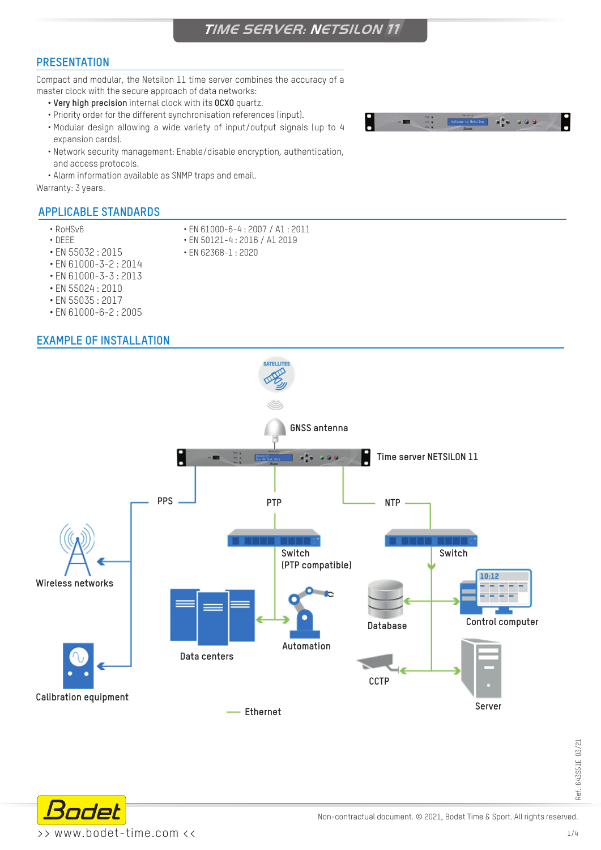# **PRESENTATION**

Compact and modular, the Netsilon 11 time server combines the accuracy of a master clock with the secure approach of data networks:

- **• Very high precision** internal clock with its **OCXO** quartz.
- Priority order for the different synchronisation references (input).
- Modular design allowing a wide variety of input/output signals (up to 4 expansion cards).
- Network security management: Enable/disable encryption, authentication, and access protocols.
- Alarm information available as SNMP traps and email.

Warranty: 3 years.

## **APPLICABLE STANDARDS**

- 
- RoHSv6 EN 61000-6-4 : 2007 / A1 : 2011
- DEEE EN 50121-4 : 2016 / A1 2019
- EN 55032 : 2015 EN 62368-1 : 2020
- EN 61000-3-2 : 2014
- EN 61000-3-3 : 2013
- EN 55024 : 2010
- EN 55035 : 2017
- EN 61000-6-2 : 2005

## **EXAMPLE OF INSTALLATION**





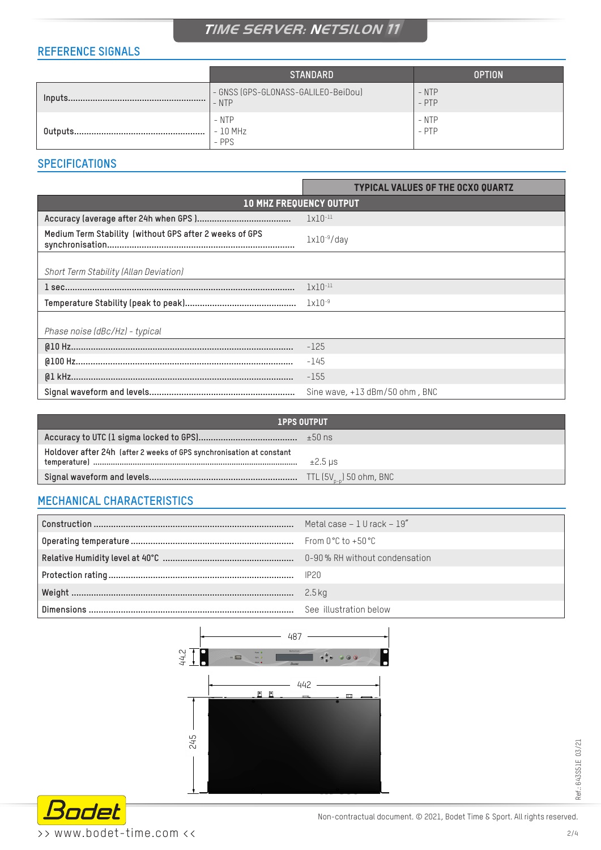# **TIME SERVER: NETSILON 11**

# **REFERENCE SIGNALS**

|          | <b>STANDARD</b>                                | <b>OPTION</b>      |
|----------|------------------------------------------------|--------------------|
| Inputs.  | - GNSS (GPS-GLONASS-GALILEO-BeiDou)<br>$-$ NTP | $-$ NTP<br>$-$ PTP |
| Outputs. | - NTP<br>$-10$ MHz<br>$-$ PPS                  | - NTP<br>$-$ PTP   |

# **SPECIFICATIONS**

|                                                         | <b>TYPICAL VALUES OF THE OCXO QUARTZ</b> |  |  |
|---------------------------------------------------------|------------------------------------------|--|--|
| <b>10 MHZ FREQUENCY OUTPUT</b>                          |                                          |  |  |
|                                                         | $1x10^{-11}$                             |  |  |
| Medium Term Stability (without GPS after 2 weeks of GPS | $lx10^{-9}/day$                          |  |  |
| Short Term Stability (Allan Deviation)                  |                                          |  |  |
|                                                         | $1x10^{-11}$                             |  |  |
|                                                         | $1x10^{-9}$                              |  |  |
| Phase noise (dBc/Hz) - typical                          |                                          |  |  |
|                                                         | $-125$                                   |  |  |
|                                                         | $-145$                                   |  |  |
|                                                         | $-155$                                   |  |  |
|                                                         | Sine wave, $+13$ dBm/50 ohm, BNC         |  |  |

| <b>1PPS OUTPUT</b>                                                   |              |
|----------------------------------------------------------------------|--------------|
|                                                                      |              |
| Holdover after 24h (after 2 weeks of GPS synchronisation at constant | $\pm 2.5$ us |
|                                                                      |              |

### **MECHANICAL CHARACTERISTICS**

| Metal case $-1$ U rack $-19''$ |
|--------------------------------|
|                                |
|                                |
|                                |
| 2.5 kg                         |
| See illustration below         |





Ref.: 643S51E 03/21

Ref.: 643S51E 03/21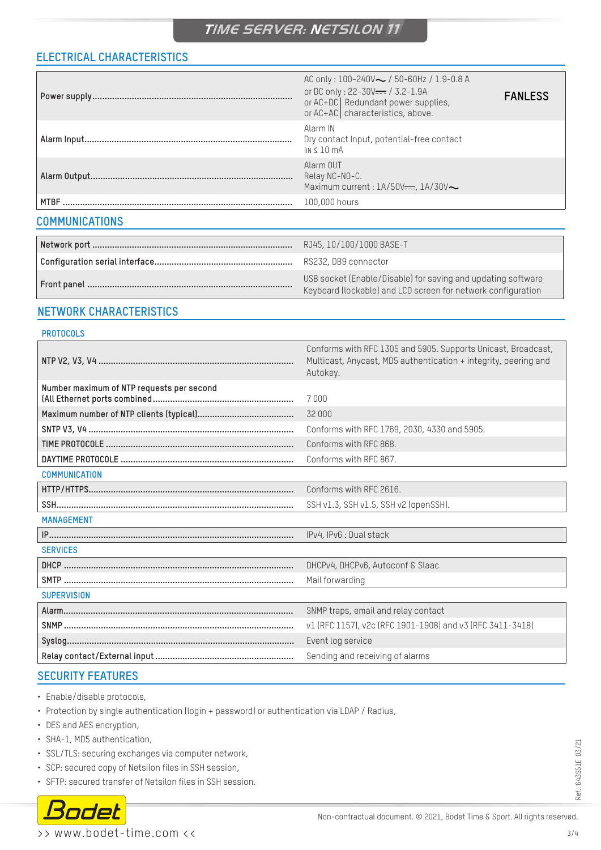# **TIME SERVER: NETSILON 11**

# **ELECTRICAL CHARACTERISTICS**

|                       | AC only: $100-240V \sim$ / 50-60Hz / 1.9-0.8 A<br>or DC only: 22-30V <del>---</del> / 3.2-1.9A<br>or AC+DC   Redundant power supplies,<br>or AC+AC characteristics, above. | <b>FANLESS</b> |
|-----------------------|----------------------------------------------------------------------------------------------------------------------------------------------------------------------------|----------------|
|                       | Alarm IN<br>Dry contact Input, potential-free contact<br>$\ln 4 10 \text{ mA}$                                                                                             |                |
|                       | Alarm OUT<br>Relay NC-NO-C.<br>Maximum current : $1A/50V$ —, $1A/30V$                                                                                                      |                |
|                       | 100,000 hours                                                                                                                                                              |                |
| <b>COMMUNICATIONS</b> |                                                                                                                                                                            |                |
|                       | RJ45, 10/100/1000 BASE-T                                                                                                                                                   |                |

| - RJ45, IU/IUU/IUUU BASE-T                                                                                                   |
|------------------------------------------------------------------------------------------------------------------------------|
| RS232, DB9 connector                                                                                                         |
| USB socket (Enable/Disable) for saving and updating software<br>Keyboard (lockable) and LCD screen for network configuration |

# **NETWORK CHARACTERISTICS**

#### **PROTOCOLS**

|                                           | Conforms with RFC 1305 and 5905. Supports Unicast, Broadcast,<br>Multicast, Anycast, MD5 authentication + integrity, peering and<br>Autokey. |
|-------------------------------------------|----------------------------------------------------------------------------------------------------------------------------------------------|
| Number maximum of NTP requests per second | 7000                                                                                                                                         |
|                                           | 32 000                                                                                                                                       |
|                                           | Conforms with RFC 1769, 2030, 4330 and 5905.                                                                                                 |
|                                           | Conforms with RFC 868.                                                                                                                       |
|                                           | Conforms with RFC 867.                                                                                                                       |
| <b>COMMUNICATION</b>                      |                                                                                                                                              |
|                                           | Conforms with RFC 2616.                                                                                                                      |
|                                           | SSH v1.3, SSH v1.5, SSH v2 (openSSH).                                                                                                        |
| <b>MANAGEMENT</b>                         |                                                                                                                                              |
|                                           | IPv4, IPv6 : Dual stack                                                                                                                      |
| <b>SERVICES</b>                           |                                                                                                                                              |
|                                           | DHCPv4, DHCPv6, Autoconf & Slaac                                                                                                             |
|                                           | Mail forwarding                                                                                                                              |
| <b>SUPERVISION</b>                        |                                                                                                                                              |
|                                           | SNMP traps, email and relay contact                                                                                                          |
|                                           | v1 (RFC 1157), v2c (RFC 1901-1908) and v3 (RFC 3411-3418)                                                                                    |
|                                           | Event log service                                                                                                                            |
|                                           | Sending and receiving of alarms                                                                                                              |

# **SECURITY FEATURES**

- Enable/disable protocols,
- Protection by single authentication (login + password) or authentication via LDAP / Radius,
- DES and AES encryption,
- SHA-1, MD5 authentication,
- SSL/TLS: securing exchanges via computer network,
- SCP: secured copy of Netsilon files in SSH session,
- SFTP: secured transfer of Netsilon files in SSH session.



>> www.bodet-time.com <<

Ref.: 643S51E 03/21

Ref.: 643S51E 03/21